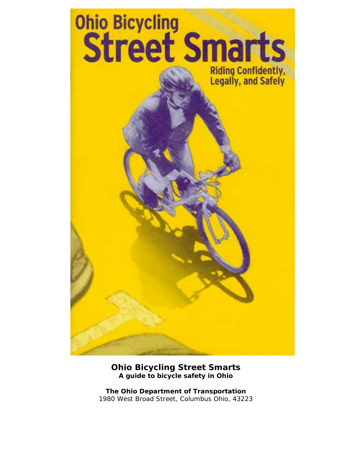

# **Ohio Bicycling Street Smarts A guide to bicycle safety in Ohio**

**The Ohio Department of Transportation** 1980 West Broad Street, Columbus Ohio, 43223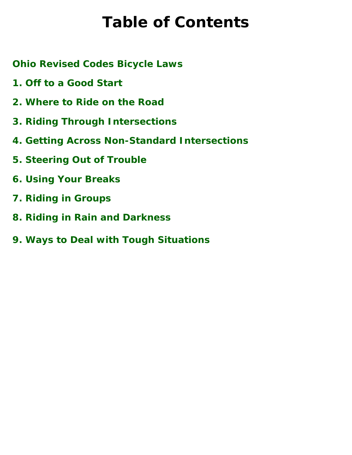# **Table of Contents**

**Ohio Revised Codes Bicycle Laws**

- **1. Off to a Good Start**
- **2. Where to Ride on the Road**
- **3. Riding Through Intersections**
- **4. Getting Across Non-Standard Intersections**
- **5. Steering Out of Trouble**
- **6. Using Your Breaks**
- **7. Riding in Groups**
- **8. Riding in Rain and Darkness**
- **9. Ways to Deal with Tough Situations**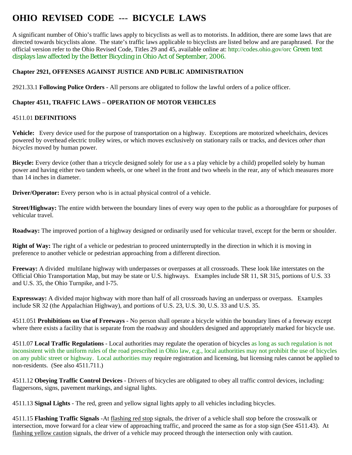# **OHIO REVISED CODE** --- **BICYCLE LAWS**

A significant number of Ohio's traffic laws apply to bicyclists as well as to motorists. In addition, there are some laws that are directed towards bicyclists alone. The state's traffic laws applicable to bicyclists are listed below and are paraphrased. For the official version refer to the Ohio Revised Code, Titles 29 and 45, available online at: http://codes.ohio.gov/orc Green text displays law affected by the Better Bicycling in Ohio Act of September, 2006.

#### **Chapter 2921, OFFENSES AGAINST JUSTICE AND PUBLIC ADMINISTRATION**

2921.33.1 **Following Police Orders** - All persons are obligated to follow the lawful orders of a police officer.

#### **Chapter 4511, TRAFFIC LAWS – OPERATION OF MOTOR VEHICLES**

#### 4511.01 **DEFINITIONS**

**Vehicle:** Every device used for the purpose of transportation on a highway. Exceptions are motorized wheelchairs, devices powered by overhead electric trolley wires, or which moves exclusively on stationary rails or tracks, and devices *other than bicycles* moved by human power.

**Bicycle:** Every device (other than a tricycle designed solely for use a s a play vehicle by a child) propelled solely by human power and having either two tandem wheels, or one wheel in the front and two wheels in the rear, any of which measures more than 14 inches in diameter.

**Driver/Operator:** Every person who is in actual physical control of a vehicle.

**Street/Highway:** The entire width between the boundary lines of every way open to the public as a thoroughfare for purposes of vehicular travel.

**Roadway:** The improved portion of a highway designed or ordinarily used for vehicular travel, except for the berm or shoulder.

**Right of Way:** The right of a vehicle or pedestrian to proceed uninterruptedly in the direction in which it is moving in preference to another vehicle or pedestrian approaching from a different direction.

**Freeway:** A divided multilane highway with underpasses or overpasses at all crossroads. These look like interstates on the Official Ohio Transportation Map, but may be state or U.S. highways. Examples include SR 11, SR 315, portions of U.S. 33 and U.S. 35, the Ohio Turnpike, and I-75.

**Expressway:** A divided major highway with more than half of all crossroads having an underpass or overpass. Examples include SR 32 (the Appalachian Highway), and portions of U.S. 23, U.S. 30, U.S. 33 and U.S. 35.

4511.051 **Prohibitions on Use of Freeways** - No person shall operate a bicycle within the boundary lines of a freeway except where there exists a facility that is separate from the roadway and shoulders designed and appropriately marked for bicycle use.

4511.07 **Local Traffic Regulations** - Local authorities may regulate the operation of bicycles as long as such regulation is not inconsistent with the uniform rules of the road prescribed in Ohio law, e.g., local authorities may not prohibit the use of bicycles on any public street or highway. Local authorities may require registration and licensing, but licensing rules cannot be applied to non-residents. (See also 4511.711.)

4511.12 **Obeying Traffic Control Devices** - Drivers of bicycles are obligated to obey all traffic control devices, including: flagpersons, signs, pavement markings, and signal lights.

4511.13 **Signal Lights** - The red, green and yellow signal lights apply to all vehicles including bicycles.

4511.15 **Flashing Traffic Signals** -At flashing red stop signals, the driver of a vehicle shall stop before the crosswalk or intersection, move forward for a clear view of approaching traffic, and proceed the same as for a stop sign (See 4511.43). At flashing yellow caution signals, the driver of a vehicle may proceed through the intersection only with caution.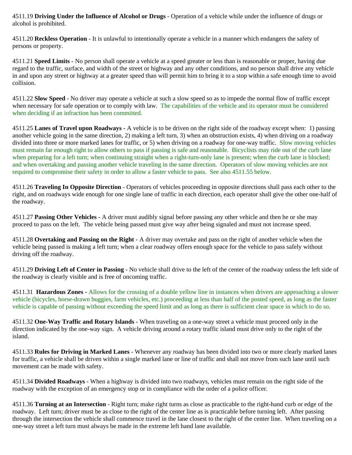4511.19 **Driving Under the Influence of Alcohol or Drugs** - Operation of a vehicle while under the influence of drugs or alcohol is prohibited.

4511.20 **Reckless Operation** - It is unlawful to intentionally operate a vehicle in a manner which endangers the safety of persons or property.

4511.21 **Speed Limits** - No person shall operate a vehicle at a speed greater or less than is reasonable or proper, having due regard to the traffic, surface, and width of the street or highway and any other conditions, and no person shall drive any vehicle in and upon any street or highway at a greater speed than will permit him to bring it to a stop within a safe enough time to avoid collision.

4511.22 **Slow Speed** - No driver may operate a vehicle at such a slow speed so as to impede the normal flow of traffic except when necessary for safe operation or to comply with law. The capabilities of the vehicle and its operator must be considered when deciding if an infraction has been committed.

4511.25 **Lanes of Travel upon Roadways** - A vehicle is to be driven on the right side of the roadway except when: 1) passing another vehicle going in the same direction, 2) making a left turn, 3) when an obstruction exists, 4) when driving on a roadway divided into three or more marked lanes for traffic, or 5) when driving on a roadway for one-way traffic. Slow moving vehicles must remain far enough right to allow others to pass if passing is safe and reasonable. Bicyclists may ride out of the curb lane when preparing for a left turn; when continuing straight when a right-turn-only lane is present; when the curb lane is blocked; and when overtaking and passing another vehicle traveling in the same direction. Operators of slow moving vehicles are not required to compromise their safety in order to allow a faster vehicle to pass. See also 4511.55 below.

4511.26 **Traveling In Opposite Direction** - Operators of vehicles proceeding in opposite directions shall pass each other to the right, and on roadways wide enough for one single lane of traffic in each direction, each operator shall give the other one-half of the roadway.

4511.27 **Passing Other Vehicles** - A driver must audibly signal before passing any other vehicle and then he or she may proceed to pass on the left. The vehicle being passed must give way after being signaled and must not increase speed.

4511.28 **Overtaking and Passing on the Right** - A driver may overtake and pass on the right of another vehicle when the vehicle being passed is making a left turn; when a clear roadway offers enough space for the vehicle to pass safely without driving off the roadway.

4511.29 **Driving Left of Center in Passing** - No vehicle shall drive to the left of the center of the roadway unless the left side of the roadway is clearly visible and is free of oncoming traffic.

4511.31 **Hazardous Zones -** Allows for the crossing of a double yellow line in instances when drivers are approaching a slower vehicle (bicycles, horse-drawn buggies, farm vehicles, etc.) proceeding at less than half of the posted speed, as long as the faster vehicle is capable of passing without exceeding the speed limit and as long as there is sufficient clear space in which to do so.

4511.32 **One-Way Traffic and Rotary Islands** - When traveling on a one-way street a vehicle must proceed only in the direction indicated by the one-way sign. A vehicle driving around a rotary traffic island must drive only to the right of the island.

4511.33 **Rules for Driving in Marked Lanes** - Whenever any roadway has been divided into two or more clearly marked lanes for traffic, a vehicle shall be driven within a single marked lane or line of traffic and shall not move from such lane until such movement can be made with safety.

4511.34 **Divided Roadways** - When a highway is divided into two roadways, vehicles must remain on the right side of the roadway with the exception of an emergency stop or in compliance with the order of a police officer.

4511.36 **Turning at an Intersection** - Right turn; make right turns as close as practicable to the right-hand curb or edge of the roadway. Left turn; driver must be as close to the right of the center line as is practicable before turning left. After passing through the intersection the vehicle shall commence travel in the lane closest to the right of the center line. When traveling on a one-way street a left turn must always be made in the extreme left hand lane available.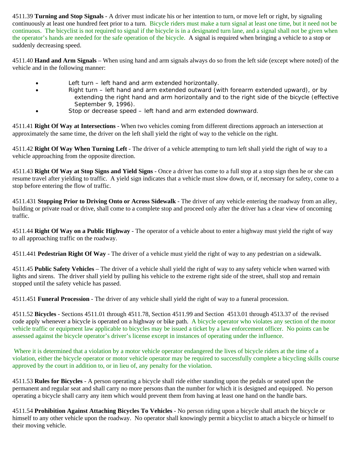4511.39 **Turning and Stop Signals** - A driver must indicate his or her intention to turn, or move left or right, by signaling continuously at least one hundred feet prior to a turn. Bicycle riders must make a turn signal at least one time, but it need not be continuous. The bicyclist is not required to signal if the bicycle is in a designated turn lane, and a signal shall not be given when the operator's hands are needed for the safe operation of the bicycle. A signal is required when bringing a vehicle to a stop or suddenly decreasing speed.

4511.40 **Hand and Arm Signals** – When using hand and arm signals always do so from the left side (except where noted) of the vehicle and in the following manner:

- Left turn left hand and arm extended horizontally.
- Right turn left hand and arm extended outward (with forearm extended upward), or by extending the right hand and arm horizontally and to the right side of the bicycle (effective September 9, 1996).
- Stop or decrease speed left hand and arm extended downward.

4511.41 **Right Of Way at Intersections** - When two vehicles coming from different directions approach an intersection at approximately the same time, the driver on the left shall yield the right of way to the vehicle on the right.

4511.42 **Right Of Way When Turning Left** - The driver of a vehicle attempting to turn left shall yield the right of way to a vehicle approaching from the opposite direction.

4511.43 **Right Of Way at Stop Signs and Yield Signs** - Once a driver has come to a full stop at a stop sign then he or she can resume travel after yielding to traffic. A yield sign indicates that a vehicle must slow down, or if, necessary for safety, come to a stop before entering the flow of traffic.

4511.431 **Stopping Prior to Driving Onto or Across Sidewalk** - The driver of any vehicle entering the roadway from an alley, building or private road or drive, shall come to a complete stop and proceed only after the driver has a clear view of oncoming traffic.

4511.44 **Right Of Way on a Public Highway** - The operator of a vehicle about to enter a highway must yield the right of way to all approaching traffic on the roadway.

4511.441 **Pedestrian Right Of Way** - The driver of a vehicle must yield the right of way to any pedestrian on a sidewalk.

4511.45 **Public Safety Vehicles** – The driver of a vehicle shall yield the right of way to any safety vehicle when warned with lights and sirens. The driver shall yield by pulling his vehicle to the extreme right side of the street, shall stop and remain stopped until the safety vehicle has passed.

4511.451 **Funeral Procession** - The driver of any vehicle shall yield the right of way to a funeral procession.

4511.52 **Bicycles** - Sections 4511.01 through 4511.78, Section 4511.99 and Section 4513.01 through 4513.37 of the revised code apply whenever a bicycle is operated on a highway or bike path.A bicycle operator who violates any section of the motor vehicle traffic or equipment law applicable to bicycles may be issued a ticket by a law enforcement officer. No points can be assessed against the bicycle operator's driver's license except in instances of operating under the influence.

 Where it is determined that a violation by a motor vehicle operator endangered the lives of bicycle riders at the time of a violation, either the bicycle operator or motor vehicle operator may be required to successfully complete a bicycling skills course approved by the court in addition to, or in lieu of, any penalty for the violation.

4511.53 **Rules for Bicycles** - A person operating a bicycle shall ride either standing upon the pedals or seated upon the permanent and regular seat and shall carry no more persons than the number for which it is designed and equipped. No person operating a bicycle shall carry any item which would prevent them from having at least one hand on the handle bars.

4511.54 **Prohibition Against Attaching Bicycles To Vehicles** - No person riding upon a bicycle shall attach the bicycle or himself to any other vehicle upon the roadway. No operator shall knowingly permit a bicyclist to attach a bicycle or himself to their moving vehicle.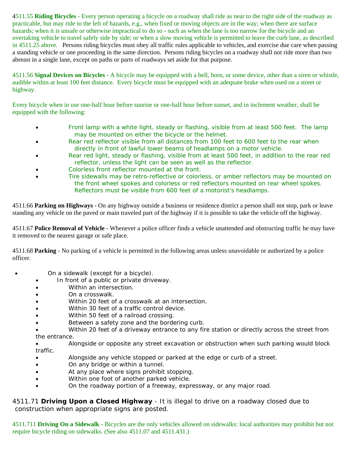4511.55 **Riding Bicycles** - Every person operating a bicycle on a roadway shall ride as near to the right side of the roadway as practicable, but may ride to the left of hazards, e.g., when fixed or moving objects are in the way; when there are surface hazards; when it is unsafe or otherwise impractical to do so - such as when the lane is too narrow for the bicycle and an overtaking vehicle to travel safely side by side; or when a slow moving vehicle is permitted to leave the curb lane, as described in 4511.25 above. Persons riding bicycles must obey all traffic rules applicable to vehicles, and exercise due care when passing a standing vehicle or one proceeding in the same direction. Persons riding bicycles on a roadway shall not ride more than two abreast in a single lane, except on paths or parts of roadways set aside for that purpose.

4511.56 **Signal Devices on Bicycles** - A bicycle may be equipped with a bell, horn, or some device, other than a siren or whistle, audible within at least 100 feet distance. Every bicycle must be equipped with an adequate brake when used on a street or highway.

Every bicycle when in use one-half hour before sunrise or one-half hour before sunset, and in inclement weather, shall be equipped with the following:

- Front lamp with a white light, steady or flashing, visible from at least 500 feet. The lamp may be mounted on either the bicycle or the helmet.
- Rear red reflector visible from all distances from 100 feet to 600 feet to the rear when directly in front of lawful lower beams of headlamps on a motor vehicle.
- Rear red light, steady or flashing, visible from at least 500 feet, in addition to the rear red reflector, unless the light can be seen as well as the reflector.
- Colorless front reflector mounted at the front.
- Tire sidewalls may be retro-reflective or colorless, or amber reflectors may be mounted on the front wheel spokes and colorless or red reflectors mounted on rear wheel spokes. Reflectors must be visible from 600 feet of a motorist's headlamps.

4511.66 **Parking on Highways** - On any highway outside a business or residence district a person shall not stop, park or leave standing any vehicle on the paved or main traveled part of the highway if it is possible to take the vehicle off the highway.

4511.67 **Police Removal of Vehicle** - Whenever a police officer finds a vehicle unattended and obstructing traffic he may have it removed to the nearest garage or safe place.

4511.68 **Parking** - No parking of a vehicle is permitted in the following areas unless unavoidable or authorized by a police officer.

- On a sidewalk (except for a bicycle).
	- In front of a public or private driveway.
	- Within an intersection.
	- On a crosswalk.
	- Within 20 feet of a crosswalk at an intersection.
	- Within 30 feet of a traffic control device.
	- Within 50 feet of a railroad crossing.
	- Between a safety zone and the bordering curb.
	- Within 20 feet of a driveway entrance to any fire station or directly across the street from the entrance.

• Alongside or opposite any street excavation or obstruction when such parking would block traffic.

- Alongside any vehicle stopped or parked at the edge or curb of a street.
- On any bridge or within a tunnel.
- At any place where signs prohibit stopping.
- Within one foot of another parked vehicle.
- On the roadway portion of a freeway, expressway, or any major road.

4511.71 **Driving Upon a Closed Highway** - It is illegal to drive on a roadway closed due to construction when appropriate signs are posted.

4511.711 **Driving On a Sidewalk** - Bicycles are the only vehicles allowed on sidewalks: local authorities may prohibit but not require bicycle riding on sidewalks. (See also 4511.07 and 4511.431.)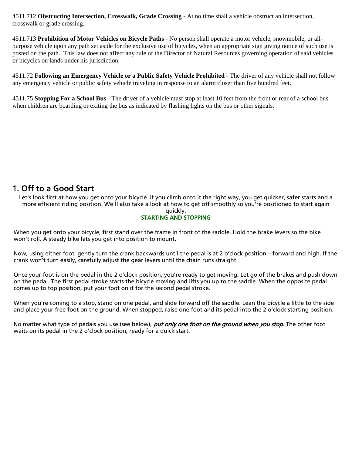4511.712 **Obstructing Intersection, Crosswalk, Grade Crossing** - At no time shall a vehicle obstruct an intersection, crosswalk or grade crossing.

4511.713 **Prohibition of Motor Vehicles on Bicycle Paths -** No person shall operate a motor vehicle, snowmobile, or allpurpose vehicle upon any path set aside for the exclusive use of bicycles, when an appropriate sign giving notice of such use is posted on the path. This law does not affect any rule of the Director of Natural Resources governing operation of said vehicles or bicycles on lands under his jurisdiction.

4511.72 **Following an Emergency Vehicle or a Public Safety Vehicle Prohibited** - The driver of any vehicle shall not follow any emergency vehicle or public safety vehicle traveling in response to an alarm closer than five hundred feet.

4511.75 **Stopping For a School Bus** - The driver of a vehicle must stop at least 10 feet from the front or rear of a school bus when children are boarding or exiting the bus as indicated by flashing lights on the bus or other signals.

# 1. Off to a Good Start

Let's look first at how you get onto your bicycle. If you climb onto it the right way, you get quicker, safer starts and a more efficient riding position. We'll also take a look at how to get off smoothly so you're positioned to start again quickly.

#### STARTING AND STOPPING

When you get onto your bicycle, first stand over the frame in front of the saddle. Hold the brake levers so the bike won't roll. A steady bike lets you get into position to mount.

Now, using either foot, gently turn the crank backwards until the pedal is at 2 o'clock position – forward and high. If the crank won't turn easily, carefully adjust the gear levers until the chain runs straight.

Once your foot is on the pedal in the 2 o'clock position, you're ready to get moving. Let go of the brakes and push down on the pedal. The first pedal stroke starts the bicycle moving and lifts you up to the saddle. When the opposite pedal comes up to top position, put your foot on it for the second pedal stroke.

When you're coming to a stop, stand on one pedal, and slide forward off the saddle. Lean the bicycle a little to the side and place your free foot on the ground. When stopped, raise one foot and its pedal into the 2 o'clock starting position.

No matter what type of pedals you use (see below), put only one foot on the ground when you stop. The other foot waits on its pedal in the 2 o'clock position, ready for a quick start.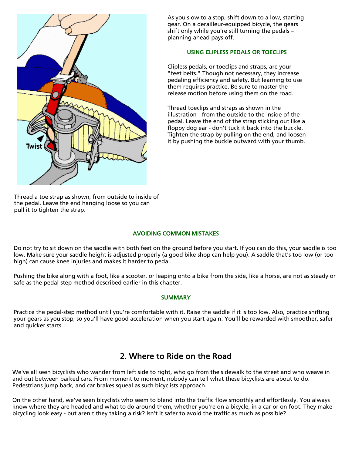

As you slow to a stop, shift down to a low, starting gear. On a derailleur-equipped bicycle, the gears shift only while you're still turning the pedals – planning ahead pays off.

#### USING CLIPLESS PEDALS OR TOECLIPS

Clipless pedals, or toeclips and straps, are your "feet belts." Though not necessary, they increase pedaling efficiency and safety. But learning to use them requires practice. Be sure to master the release motion before using them on the road.

Thread toeclips and straps as shown in the illustration - from the outside to the inside of the pedal. Leave the end of the strap sticking out like a floppy dog ear - don't tuck it back into the buckle. Tighten the strap by pulling on the end, and loosen it by pushing the buckle outward with your thumb.

Thread a toe strap as shown, from outside to inside of the pedal. Leave the end hanging loose so you can pull it to tighten the strap.

#### AVOIDING COMMON MISTAKES

Do not try to sit down on the saddle with both feet on the ground before you start. If you can do this, your saddle is too low. Make sure your saddle height is adjusted properly (a good bike shop can help you). A saddle that's too low (or too high) can cause knee injuries and makes it harder to pedal.

Pushing the bike along with a foot, like a scooter, or leaping onto a bike from the side, like a horse, are not as steady or safe as the pedal-step method described earlier in this chapter.

#### **SUMMARY**

Practice the pedal-step method until you're comfortable with it. Raise the saddle if it is too low. Also, practice shifting your gears as you stop, so you'll have good acceleration when you start again. You'll be rewarded with smoother, safer and quicker starts.

# 2. Where to Ride on the Road

We've all seen bicyclists who wander from left side to right, who go from the sidewalk to the street and who weave in and out between parked cars. From moment to moment, nobody can tell what these bicyclists are about to do. Pedestrians jump back, and car brakes squeal as such bicyclists approach.

On the other hand, we've seen bicyclists who seem to blend into the traffic flow smoothly and effortlessly. You always know where they are headed and what to do around them, whether you're on a bicycle, in a car or on foot. They make bicycling look easy - but aren't they taking a risk? Isn't it safer to avoid the traffic as much as possible?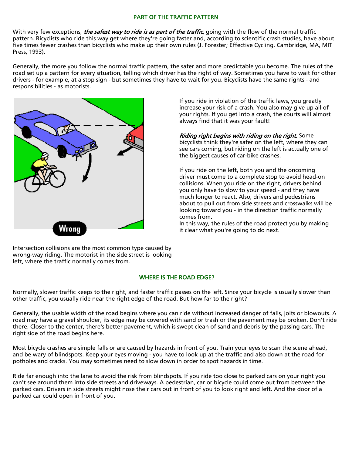#### PART OF THE TRAFFIC PATTERN

With very few exceptions, *the safest way to ride is as part of the traffic*, going with the flow of the normal traffic pattern. Bicyclists who ride this way get where they're going faster and, according to scientific crash studies, have about five times fewer crashes than bicyclists who make up their own rules (J. Forester; Effective Cycling. Cambridge, MA, MIT Press, 1993).

Generally, the more you follow the normal traffic pattern, the safer and more predictable you become. The rules of the road set up a pattern for every situation, telling which driver has the right of way. Sometimes you have to wait for other drivers - for example, at a stop sign - but sometimes they have to wait for you. Bicyclists have the same rights - and responsibilities - as motorists.



If you ride in violation of the traffic laws, you greatly increase your risk of a crash. You also may give up all of your rights. If you get into a crash, the courts will almost always find that it was your fault!

Riding right begins with riding on the right. Some bicyclists think they're safer on the left, where they can see cars coming, but riding on the left is actually one of the biggest causes of car-bike crashes.

If you ride on the left, both you and the oncoming driver must come to a complete stop to avoid head-on collisions. When you ride on the right, drivers behind you only have to slow to your speed - and they have much longer to react. Also, drivers and pedestrians about to pull out from side streets and crosswalks will be looking toward you - in the direction traffic normally comes from.

In this way, the rules of the road protect you by making it clear what you're going to do next.

Intersection collisions are the most common type caused by wrong-way riding. The motorist in the side street is looking left, where the traffic normally comes from.

#### WHERE IS THE ROAD EDGE?

Normally, slower traffic keeps to the right, and faster traffic passes on the left. Since your bicycle is usually slower than other traffic, you usually ride near the right edge of the road. But how far to the right?

Generally, the usable width of the road begins where you can ride without increased danger of falls, jolts or blowouts. A road may have a gravel shoulder, its edge may be covered with sand or trash or the pavement may be broken. Don't ride there. Closer to the center, there's better pavement, which is swept clean of sand and debris by the passing cars. The right side of the road begins here.

Most bicycle crashes are simple falls or are caused by hazards in front of you. Train your eyes to scan the scene ahead, and be wary of blindspots. Keep your eyes moving - you have to look up at the traffic and also down at the road for potholes and cracks. You may sometimes need to slow down in order to spot hazards in time.

Ride far enough into the lane to avoid the risk from blindspots. If you ride too close to parked cars on your right you can't see around them into side streets and driveways. A pedestrian, car or bicycle could come out from between the parked cars. Drivers in side streets might nose their cars out in front of you to look right and left. And the door of a parked car could open in front of you.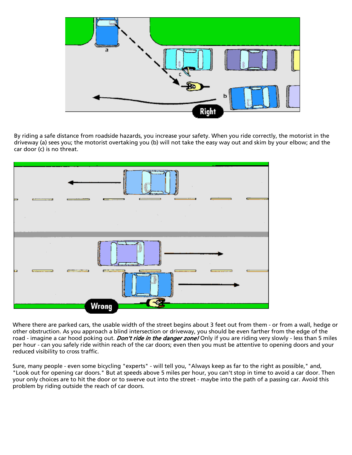

By riding a safe distance from roadside hazards, you increase your safety. When you ride correctly, the motorist in the driveway (a) sees you; the motorist overtaking you (b) will not take the easy way out and skim by your elbow; and the car door (c) is no threat.



Where there are parked cars, the usable width of the street begins about 3 feet out from them - or from a wall, hedge or other obstruction. As you approach a blind intersection or driveway, you should be even farther from the edge of the road - imagine a car hood poking out. *Don't ride in the danger zone!* Only if you are riding very slowly - less than 5 miles per hour - can you safely ride within reach of the car doors; even then you must be attentive to opening doors and your reduced visibility to cross traffic.

Sure, many people - even some bicycling "experts" - will tell you, "Always keep as far to the right as possible," and, "Look out for opening car doors." But at speeds above 5 miles per hour, you can't stop in time to avoid a car door. Then your only choices are to hit the door or to swerve out into the street - maybe into the path of a passing car. Avoid this problem by riding outside the reach of car doors.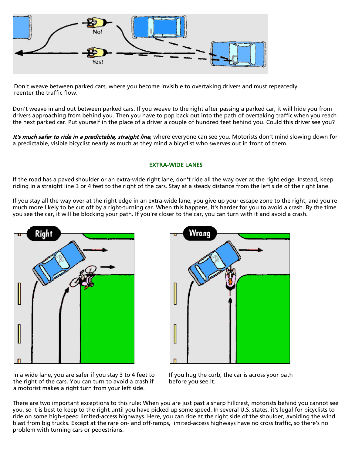

Don't weave between parked cars, where you become invisible to overtaking drivers and must repeatedly reenter the traffic flow.

Don't weave in and out between parked cars. If you weave to the right after passing a parked car, it will hide you from drivers approaching from behind you. Then you have to pop back out into the path of overtaking traffic when you reach the next parked car. Put yourself in the place of a driver a couple of hundred feet behind you. Could this driver see you?

It's much safer to ride in a predictable, straight line, where everyone can see you. Motorists don't mind slowing down for a predictable, visible bicyclist nearly as much as they mind a bicyclist who swerves out in front of them.

#### EXTRA-WIDE LANES

If the road has a paved shoulder or an extra-wide right lane, don't ride all the way over at the right edge. Instead, keep riding in a straight line 3 or 4 feet to the right of the cars. Stay at a steady distance from the left side of the right lane.

If you stay all the way over at the right edge in an extra-wide lane, you give up your escape zone to the right, and you're much more likely to be cut off by a right-turning car. When this happens, it's harder for you to avoid a crash. By the time you see the car, it will be blocking your path. If you're closer to the car, you can turn with it and avoid a crash.





In a wide lane, you are safer if you stay 3 to 4 feet to the right of the cars. You can turn to avoid a crash if a motorist makes a right turn from your left side.

If you hug the curb, the car is across your path before you see it.

There are two important exceptions to this rule: When you are just past a sharp hillcrest, motorists behind you cannot see you, so it is best to keep to the right until you have picked up some speed. In several U.S. states, it's legal for bicyclists to ride on some high-speed limited-access highways. Here, you can ride at the right side of the shoulder, avoiding the wind blast from big trucks. Except at the rare on- and off-ramps, limited-access highways have no cross traffic, so there's no problem with turning cars or pedestrians.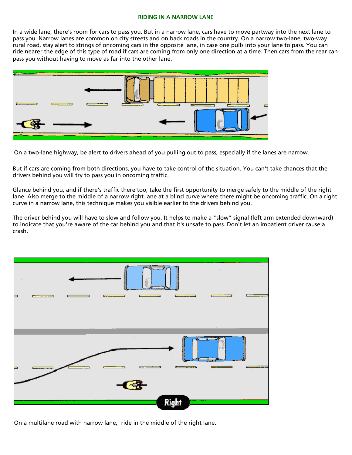#### RIDING IN A NARROW LANE

In a wide lane, there's room for cars to pass you. But in a narrow lane, cars have to move partway into the next lane to pass you. Narrow lanes are common on city streets and on back roads in the country. On a narrow two-lane, two-way rural road, stay alert to strings of oncoming cars in the opposite lane, in case one pulls into your lane to pass. You can ride nearer the edge of this type of road if cars are coming from only one direction at a time. Then cars from the rear can pass you without having to move as far into the other lane.



On a two-lane highway, be alert to drivers ahead of you pulling out to pass, especially if the lanes are narrow.

But if cars are coming from both directions, you have to take control of the situation. You can't take chances that the drivers behind you will try to pass you in oncoming traffic.

Glance behind you, and if there's traffic there too, take the first opportunity to merge safely to the middle of the right lane. Also merge to the middle of a narrow right lane at a blind curve where there might be oncoming traffic. On a right curve in a narrow lane, this technique makes you visible earlier to the drivers behind you.

The driver behind you will have to slow and follow you. It helps to make a "slow" signal (left arm extended downward) to indicate that you're aware of the car behind you and that it's unsafe to pass. Don't let an impatient driver cause a crash.



On a multilane road with narrow lane, ride in the middle of the right lane.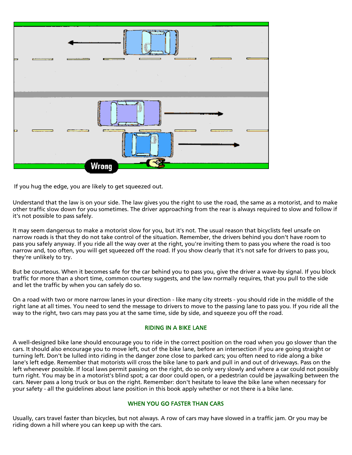

If you hug the edge, you are likely to get squeezed out.

Understand that the law is on your side. The law gives you the right to use the road, the same as a motorist, and to make other traffic slow down for you sometimes. The driver approaching from the rear is always required to slow and follow if it's not possible to pass safely.

It may seem dangerous to make a motorist slow for you, but it's not. The usual reason that bicyclists feel unsafe on narrow roads is that they do not take control of the situation. Remember, the drivers behind you don't have room to pass you safely anyway. If you ride all the way over at the right, you're inviting them to pass you where the road is too narrow and, too often, you will get squeezed off the road. If you show clearly that it's not safe for drivers to pass you, they're unlikely to try.

But be courteous. When it becomes safe for the car behind you to pass you, give the driver a wave-by signal. If you block traffic for more than a short time, common courtesy suggests, and the law normally requires, that you pull to the side and let the traffic by when you can safely do so.

On a road with two or more narrow lanes in your direction - like many city streets - you should ride in the middle of the right lane at all times. You need to send the message to drivers to move to the passing lane to pass you. If you ride all the way to the right, two cars may pass you at the same time, side by side, and squeeze you off the road.

#### RIDING IN A BIKE LANE

A well-designed bike lane should encourage you to ride in the correct position on the road when you go slower than the cars. It should also encourage you to move left, out of the bike lane, before an intersection if you are going straight or turning left. Don't be lulled into riding in the danger zone close to parked cars; you often need to ride along a bike lane's left edge. Remember that motorists will cross the bike lane to park and pull in and out of driveways. Pass on the left whenever possible. If local laws permit passing on the right, do so only very slowly and where a car could not possibly turn right. You may be in a motorist's blind spot; a car door could open, or a pedestrian could be jaywalking between the cars. Never pass a long truck or bus on the right. Remember: don't hesitate to leave the bike lane when necessary for your safety - all the guidelines about lane position in this book apply whether or not there is a bike lane.

#### WHEN YOU GO FASTER THAN CARS

Usually, cars travel faster than bicycles, but not always. A row of cars may have slowed in a traffic jam. Or you may be riding down a hill where you can keep up with the cars.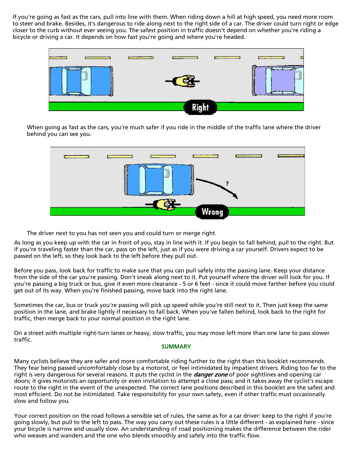If you're going as fast as the cars, pull into line with them. When riding down a hill at high speed, you need more room to steer and brake. Besides, it's dangerous to ride along next to the right side of a car. The driver could turn right or edge closer to the curb without ever seeing you. The safest position in traffic doesn't depend on whether you're riding a bicycle or driving a car. It depends on how fast you're going and where you're headed.

![](_page_13_Picture_1.jpeg)

When going as fast as the cars, you're much safer if you ride in the middle of the traffic lane where the driver behind you can see you.

![](_page_13_Picture_3.jpeg)

The driver next to you has not seen you and could turn or merge right.

As long as you keep up with the car in front of you, stay in line with it. If you begin to fall behind, pull to the right. But if you're traveling faster than the car, pass on the left, just as if you were driving a car yourself. Drivers expect to be passed on the left, so they look back to the left before they pull out.

Before you pass, look back for traffic to make sure that you can pull safely into the passing lane. Keep your distance from the side of the car you're passing. Don't sneak along next to it. Put yourself where the driver will look for you. If you're passing a big truck or bus, give it even more clearance - 5 or 6 feet - since it could move farther before you could get out of its way. When you're finished passing, move back into the right lane.

Sometimes the car, bus or truck you're passing will pick up speed while you're still next to it. Then just keep the same position in the lane, and brake lightly if necessary to fall back. When you've fallen behind, look back to the right for traffic, then merge back to your normal position in the right lane.

On a street with multiple right-turn lanes or heavy, slow traffic, you may move left more than one lane to pass slower traffic.

#### **SUMMARY**

Many cyclists believe they are safer and more comfortable riding further to the right than this booklet recommends. They fear being passed uncomfortably close by a motorist, or feel intimidated by impatient drivers. Riding too far to the right is very dangerous for several reasons. It puts the cyclist in the *danger zone* of poor sightlines and opening car doors; it gives motorists an opportunity or even invitation to attempt a close pass; and it takes away the cyclist's escape route to the right in the event of the unexpected. The correct lane positions described in this booklet are the safest and most efficient. Do not be intimidated. Take responsibility for your own safety, even if other traffic must occasionally slow and follow you.

Your correct position on the road follows a sensible set of rules, the same as for a car driver: keep to the right if you're going slowly, but pull to the left to pass. The way you carry out these rules is a little different - as explained here - since your bicycle is narrow and usually slow. An understanding of road positioning makes the difference between the rider who weaves and wanders and the one who blends smoothly and safely into the traffic flow.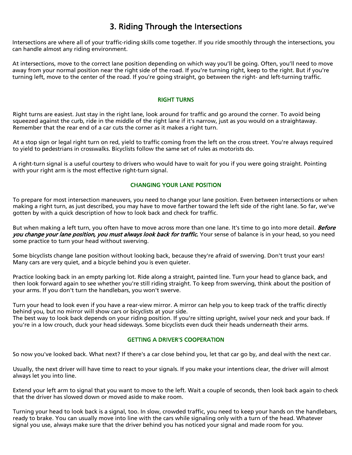# 3. Riding Through the Intersections

Intersections are where all of your traffic-riding skills come together. If you ride smoothly through the intersections, you can handle almost any riding environment.

At intersections, move to the correct lane position depending on which way you'll be going. Often, you'll need to move away from your normal position near the right side of the road. If you're turning right, keep to the right. But if you're turning left, move to the center of the road. If you're going straight, go between the right- and left-turning traffic.

#### RIGHT TURNS

Right turns are easiest. Just stay in the right lane, look around for traffic and go around the corner. To avoid being squeezed against the curb, ride in the middle of the right lane if it's narrow, just as you would on a straightaway. Remember that the rear end of a car cuts the corner as it makes a right turn.

At a stop sign or legal right turn on red, yield to traffic coming from the left on the cross street. You're always required to yield to pedestrians in crosswalks. Bicyclists follow the same set of rules as motorists do.

A right-turn signal is a useful courtesy to drivers who would have to wait for you if you were going straight. Pointing with your right arm is the most effective right-turn signal.

#### CHANGING YOUR LANE POSITION

To prepare for most intersection maneuvers, you need to change your lane position. Even between intersections or when making a right turn, as just described, you may have to move farther toward the left side of the right lane. So far, we've gotten by with a quick description of how to look back and check for traffic.

But when making a left turn, you often have to move across more than one lane. It's time to go into more detail. Before you change your lane position, you must always look back for traffic. Your sense of balance is in your head, so you need some practice to turn your head without swerving.

Some bicyclists change lane position without looking back, because they're afraid of swerving. Don't trust your ears! Many cars are very quiet, and a bicycle behind you is even quieter.

Practice looking back in an empty parking lot. Ride along a straight, painted line. Turn your head to glance back, and then look forward again to see whether you're still riding straight. To keep from swerving, think about the position of your arms. If you don't turn the handlebars, you won't swerve.

Turn your head to look even if you have a rear-view mirror. A mirror can help you to keep track of the traffic directly behind you, but no mirror will show cars or bicyclists at your side. The best way to look back depends on your riding position. If you're sitting upright, swivel your neck and your back. If

you're in a low crouch, duck your head sideways. Some bicyclists even duck their heads underneath their arms.

#### GETTING A DRIVER'S COOPERATION

So now you've looked back. What next? If there's a car close behind you, let that car go by, and deal with the next car.

Usually, the next driver will have time to react to your signals. If you make your intentions clear, the driver will almost always let you into line.

Extend your left arm to signal that you want to move to the left. Wait a couple of seconds, then look back again to check that the driver has slowed down or moved aside to make room.

Turning your head to look back is a signal, too. In slow, crowded traffic, you need to keep your hands on the handlebars, ready to brake. You can usually move into line with the cars while signaling only with a turn of the head. Whatever signal you use, always make sure that the driver behind you has noticed your signal and made room for you.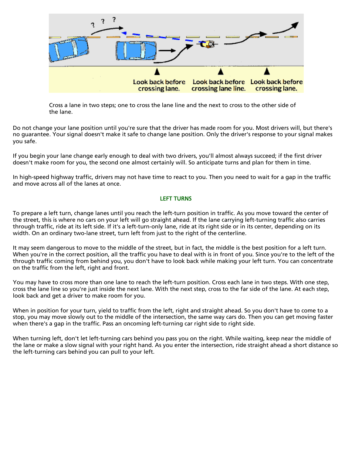![](_page_15_Picture_0.jpeg)

Cross a lane in two steps; one to cross the lane line and the next to cross to the other side of the lane.

Do not change your lane position until you're sure that the driver has made room for you. Most drivers will, but there's no guarantee. Your signal doesn't make it safe to change lane position. Only the driver's response to your signal makes you safe.

If you begin your lane change early enough to deal with two drivers, you'll almost always succeed; if the first driver doesn't make room for you, the second one almost certainly will. So anticipate turns and plan for them in time.

In high-speed highway traffic, drivers may not have time to react to you. Then you need to wait for a gap in the traffic and move across all of the lanes at once.

#### LEFT TURNS

To prepare a left turn, change lanes until you reach the left-turn position in traffic. As you move toward the center of the street, this is where no cars on your left will go straight ahead. If the lane carrying left-turning traffic also carries through traffic, ride at its left side. If it's a left-turn-only lane, ride at its right side or in its center, depending on its width. On an ordinary two-lane street, turn left from just to the right of the centerline.

It may seem dangerous to move to the middle of the street, but in fact, the middle is the best position for a left turn. When you're in the correct position, all the traffic you have to deal with is in front of you. Since you're to the left of the through traffic coming from behind you, you don't have to look back while making your left turn. You can concentrate on the traffic from the left, right and front.

You may have to cross more than one lane to reach the left-turn position. Cross each lane in two steps. With one step, cross the lane line so you're just inside the next lane. With the next step, cross to the far side of the lane. At each step, look back and get a driver to make room for you.

When in position for your turn, yield to traffic from the left, right and straight ahead. So you don't have to come to a stop, you may move slowly out to the middle of the intersection, the same way cars do. Then you can get moving faster when there's a gap in the traffic. Pass an oncoming left-turning car right side to right side.

When turning left, don't let left-turning cars behind you pass you on the right. While waiting, keep near the middle of the lane or make a slow signal with your right hand. As you enter the intersection, ride straight ahead a short distance so the left-turning cars behind you can pull to your left.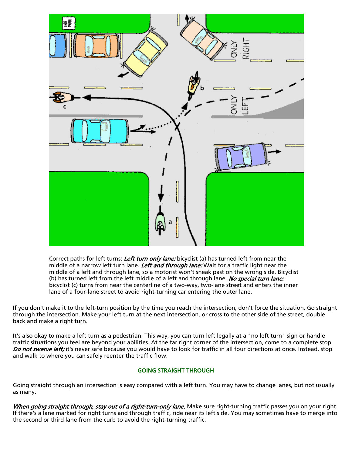![](_page_16_Figure_0.jpeg)

Correct paths for left turns: Left turn only lane: bicyclist (a) has turned left from near the middle of a narrow left turn lane. Left and through lane: Wait for a traffic light near the middle of a left and through lane, so a motorist won't sneak past on the wrong side. Bicyclist (b) has turned left from the left middle of a left and through lane. No special turn lane: bicyclist (c) turns from near the centerline of a two-way, two-lane street and enters the inner lane of a four-lane street to avoid right-turning car entering the outer lane.

If you don't make it to the left-turn position by the time you reach the intersection, don't force the situation. Go straight through the intersection. Make your left turn at the next intersection, or cross to the other side of the street, double back and make a right turn.

It's also okay to make a left turn as a pedestrian. This way, you can turn left legally at a "no left turn" sign or handle traffic situations you feel are beyond your abilities. At the far right corner of the intersection, come to a complete stop. Do not swerve left; it's never safe because you would have to look for traffic in all four directions at once. Instead, stop and walk to where you can safely reenter the traffic flow.

#### GOING STRAIGHT THROUGH

Going straight through an intersection is easy compared with a left turn. You may have to change lanes, but not usually as many.

When going straight through, stay out of a right-turn-only lane. Make sure right-turning traffic passes you on your right. If there's a lane marked for right turns and through traffic, ride near its left side. You may sometimes have to merge into the second or third lane from the curb to avoid the right-turning traffic.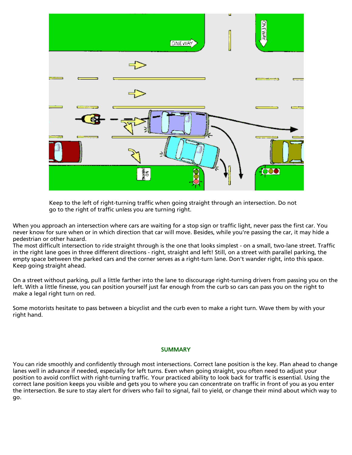![](_page_17_Figure_0.jpeg)

Keep to the left of right-turning traffic when going straight through an intersection. Do not go to the right of traffic unless you are turning right.

When you approach an intersection where cars are waiting for a stop sign or traffic light, never pass the first car. You never know for sure when or in which direction that car will move. Besides, while you're passing the car, it may hide a pedestrian or other hazard.

The most difficult intersection to ride straight through is the one that looks simplest - on a small, two-lane street. Traffic in the right lane goes in three different directions - right, straight and left! Still, on a street with parallel parking, the empty space between the parked cars and the corner serves as a right-turn lane. Don't wander right, into this space. Keep going straight ahead.

On a street without parking, pull a little farther into the lane to discourage right-turning drivers from passing you on the left. With a little finesse, you can position yourself just far enough from the curb so cars can pass you on the right to make a legal right turn on red.

Some motorists hesitate to pass between a bicyclist and the curb even to make a right turn. Wave them by with your right hand.

#### **SUMMARY**

You can ride smoothly and confidently through most intersections. Correct lane position is the key. Plan ahead to change lanes well in advance if needed, especially for left turns. Even when going straight, you often need to adjust your position to avoid conflict with right-turning traffic. Your practiced ability to look back for traffic is essential. Using the correct lane position keeps you visible and gets you to where you can concentrate on traffic in front of you as you enter the intersection. Be sure to stay alert for drivers who fail to signal, fail to yield, or change their mind about which way to go.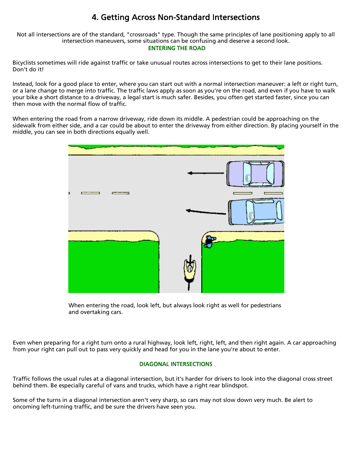# 4. Getting Across Non-Standard Intersections

Not all intersections are of the standard, "crossroads" type. Though the same principles of lane positioning apply to all intersection maneuvers, some situations can be confusing and deserve a second look. ENTERING THE ROAD

Bicyclists sometimes will ride against traffic or take unusual routes across intersections to get to their lane positions. Don't do it!

Instead, look for a good place to enter, where you can start out with a normal intersection maneuver: a left or right turn, or a lane change to merge into traffic. The traffic laws apply as soon as you're on the road, and even if you have to walk your bike a short distance to a driveway, a legal start is much safer. Besides, you often get started faster, since you can then move with the normal flow of traffic.

When entering the road from a narrow driveway, ride down its middle. A pedestrian could be approaching on the sidewalk from either side, and a car could be about to enter the driveway from either direction. By placing yourself in the middle, you can see in both directions equally well.

![](_page_18_Figure_5.jpeg)

When entering the road, look left, but always look right as well for pedestrians and overtaking cars.

Even when preparing for a right turn onto a rural highway, look left, right, left, and then right again. A car approaching from your right can pull out to pass very quickly and head for you in the lane you're about to enter.

#### DIAGONAL INTERSECTIONS

Traffic follows the usual rules at a diagonal intersection, but it's harder for drivers to look into the diagonal cross street behind them. Be especially careful of vans and trucks, which have a right rear blindspot.

Some of the turns in a diagonal intersection aren't very sharp, so cars may not slow down very much. Be alert to oncoming left-turning traffic, and be sure the drivers have seen you.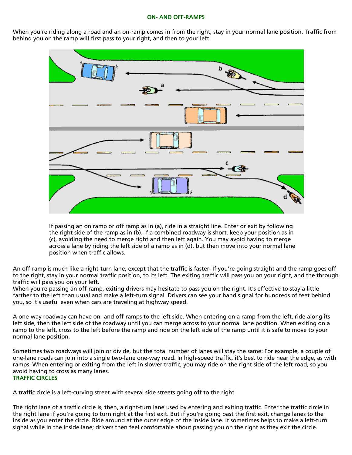#### ON- AND OFF-RAMPS

When you're riding along a road and an on-ramp comes in from the right, stay in your normal lane position. Traffic from behind you on the ramp will first pass to your right, and then to your left.

![](_page_19_Picture_2.jpeg)

If passing an on ramp or off ramp as in (a), ride in a straight line. Enter or exit by following the right side of the ramp as in (b). If a combined roadway is short, keep your position as in (c), avoiding the need to merge right and then left again. You may avoid having to merge across a lane by riding the left side of a ramp as in (d), but then move into your normal lane position when traffic allows.

An off-ramp is much like a right-turn lane, except that the traffic is faster. If you're going straight and the ramp goes off to the right, stay in your normal traffic position, to its left. The exiting traffic will pass you on your right, and the through traffic will pass you on your left.

When you're passing an off-ramp, exiting drivers may hesitate to pass you on the right. It's effective to stay a little farther to the left than usual and make a left-turn signal. Drivers can see your hand signal for hundreds of feet behind you, so it's useful even when cars are traveling at highway speed.

A one-way roadway can have on- and off-ramps to the left side. When entering on a ramp from the left, ride along its left side, then the left side of the roadway until you can merge across to your normal lane position. When exiting on a ramp to the left, cross to the left before the ramp and ride on the left side of the ramp until it is safe to move to your normal lane position.

Sometimes two roadways will join or divide, but the total number of lanes will stay the same: For example, a couple of one-lane roads can join into a single two-lane one-way road. In high-speed traffic, it's best to ride near the edge, as with ramps. When entering or exiting from the left in slower traffic, you may ride on the right side of the left road, so you avoid having to cross as many lanes.

#### TRAFFIC CIRCLES

A traffic circle is a left-curving street with several side streets going off to the right.

The right lane of a traffic circle is, then, a right-turn lane used by entering and exiting traffic. Enter the traffic circle in the right lane if you're going to turn right at the first exit. But if you're going past the first exit, change lanes to the inside as you enter the circle. Ride around at the outer edge of the inside lane. It sometimes helps to make a left-turn signal while in the inside lane; drivers then feel comfortable about passing you on the right as they exit the circle.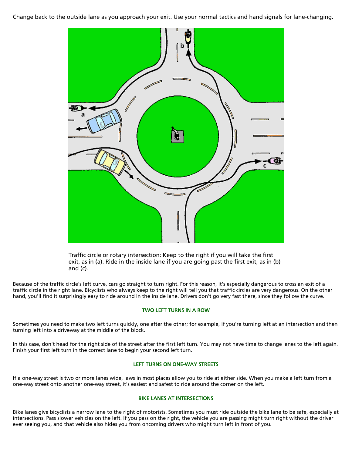Change back to the outside lane as you approach your exit. Use your normal tactics and hand signals for lane-changing.

![](_page_20_Figure_1.jpeg)

Traffic circle or rotary intersection: Keep to the right if you will take the first exit, as in (a). Ride in the inside lane if you are going past the first exit, as in (b) and (c).

Because of the traffic circle's left curve, cars go straight to turn right. For this reason, it's especially dangerous to cross an exit of a traffic circle in the right lane. Bicyclists who always keep to the right will tell you that traffic circles are very dangerous. On the other hand, you'll find it surprisingly easy to ride around in the inside lane. Drivers don't go very fast there, since they follow the curve.

#### TWO LEFT TURNS IN A ROW

Sometimes you need to make two left turns quickly, one after the other; for example, if you're turning left at an intersection and then turning left into a driveway at the middle of the block.

In this case, don't head for the right side of the street after the first left turn. You may not have time to change lanes to the left again. Finish your first left turn in the correct lane to begin your second left turn.

#### LEFT TURNS ON ONE-WAY STREETS

If a one-way street is two or more lanes wide, laws in most places allow you to ride at either side. When you make a left turn from a one-way street onto another one-way street, it's easiest and safest to ride around the corner on the left.

#### BIKE LANES AT INTERSECTIONS

Bike lanes give bicyclists a narrow lane to the right of motorists. Sometimes you must ride outside the bike lane to be safe, especially at intersections. Pass slower vehicles on the left. If you pass on the right, the vehicle you are passing might turn right without the driver ever seeing you, and that vehicle also hides you from oncoming drivers who might turn left in front of you.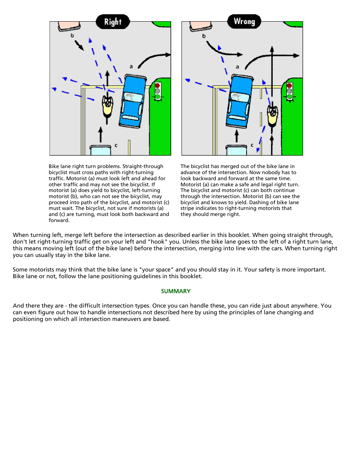![](_page_21_Figure_0.jpeg)

Bike lane right turn problems. Straight-through bicyclist must cross paths with right-turning traffic. Motorist (a) must look left and ahead for other traffic and may not see the bicyclist. If motorist (a) does yield to bicyclist, left-turning motorist (b), who can not see the bicyclist, may proceed into path of the bicyclist, and motorist (c) must wait. The bicyclist, not sure if motorists (a) and (c) are turning, must look both backward and forward.

![](_page_21_Figure_2.jpeg)

The bicyclist has merged out of the bike lane in advance of the intersection. Now nobody has to look backward and forward at the same time. Motorist (a) can make a safe and legal right turn. The bicyclist and motorist (c) can both continue through the intersection. Motorist (b) can see the bicyclist and knows to yield. Dashing of bike lane stripe indicates to right-turning motorists that they should merge right.

When turning left, merge left before the intersection as described earlier in this booklet. When going straight through, don't let right-turning traffic get on your left and "hook" you. Unless the bike lane goes to the left of a right turn lane, this means moving left (out of the bike lane) before the intersection, merging into line with the cars. When turning right you can usually stay in the bike lane.

Some motorists may think that the bike lane is "your space" and you should stay in it. Your safety is more important. Bike lane or not, follow the lane positioning guidelines in this booklet.

#### SUMMARY

And there they are - the difficult intersection types. Once you can handle these, you can ride just about anywhere. You can even figure out how to handle intersections not described here by using the principles of lane changing and positioning on which all intersection maneuvers are based.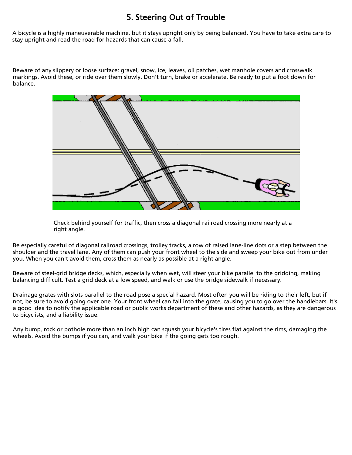# 5. Steering Out of Trouble

A bicycle is a highly maneuverable machine, but it stays upright only by being balanced. You have to take extra care to stay upright and read the road for hazards that can cause a fall.

Beware of any slippery or loose surface: gravel, snow, ice, leaves, oil patches, wet manhole covers and crosswalk markings. Avoid these, or ride over them slowly. Don't turn, brake or accelerate. Be ready to put a foot down for balance.

![](_page_22_Picture_3.jpeg)

Check behind yourself for traffic, then cross a diagonal railroad crossing more nearly at a right angle.

Be especially careful of diagonal railroad crossings, trolley tracks, a row of raised lane-line dots or a step between the shoulder and the travel lane. Any of them can push your front wheel to the side and sweep your bike out from under you. When you can't avoid them, cross them as nearly as possible at a right angle.

Beware of steel-grid bridge decks, which, especially when wet, will steer your bike parallel to the gridding, making balancing difficult. Test a grid deck at a low speed, and walk or use the bridge sidewalk if necessary.

Drainage grates with slots parallel to the road pose a special hazard. Most often you will be riding to their left, but if not, be sure to avoid going over one. Your front wheel can fall into the grate, causing you to go over the handlebars. It's a good idea to notify the applicable road or public works department of these and other hazards, as they are dangerous to bicyclists, and a liability issue.

Any bump, rock or pothole more than an inch high can squash your bicycle's tires flat against the rims, damaging the wheels. Avoid the bumps if you can, and walk your bike if the going gets too rough.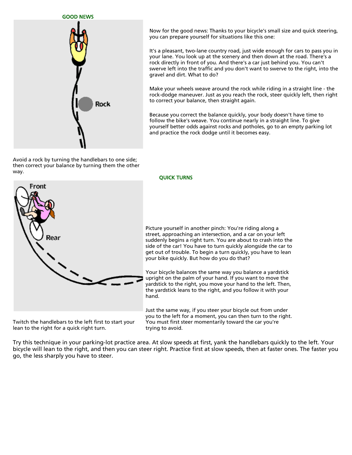#### GOOD NEWS

![](_page_23_Figure_1.jpeg)

Avoid a rock by turning the handlebars to one side; then correct your balance by turning them the other way.

![](_page_23_Picture_3.jpeg)

Twitch the handlebars to the left first to start your lean to the right for a quick right turn.

Now for the good news: Thanks to your bicycle's small size and quick steering, you can prepare yourself for situations like this one:

It's a pleasant, two-lane country road, just wide enough for cars to pass you in your lane. You look up at the scenery and then down at the road. There's a rock directly in front of you. And there's a car just behind you. You can't swerve left into the traffic and you don't want to swerve to the right, into the gravel and dirt. What to do?

Make your wheels weave around the rock while riding in a straight line - the rock-dodge maneuver. Just as you reach the rock, steer quickly left, then right to correct your balance, then straight again.

Because you correct the balance quickly, your body doesn't have time to follow the bike's weave. You continue nearly in a straight line. To give yourself better odds against rocks and potholes, go to an empty parking lot and practice the rock dodge until it becomes easy.

#### QUICK TURNS

Picture yourself in another pinch: You're riding along a street, approaching an intersection, and a car on your left suddenly begins a right turn. You are about to crash into the side of the car! You have to turn quickly alongside the car to get out of trouble. To begin a turn quickly, you have to lean your bike quickly. But how do you do that?

Your bicycle balances the same way you balance a yardstick upright on the palm of your hand. If you want to move the yardstick to the right, you move your hand to the left. Then, the yardstick leans to the right, and you follow it with your hand.

Just the same way, if you steer your bicycle out from under you to the left for a moment, you can then turn to the right. You must first steer momentarily toward the car you're trying to avoid.

Try this technique in your parking-lot practice area. At slow speeds at first, yank the handlebars quickly to the left. Your bicycle will lean to the right, and then you can steer right. Practice first at slow speeds, then at faster ones. The faster you go, the less sharply you have to steer.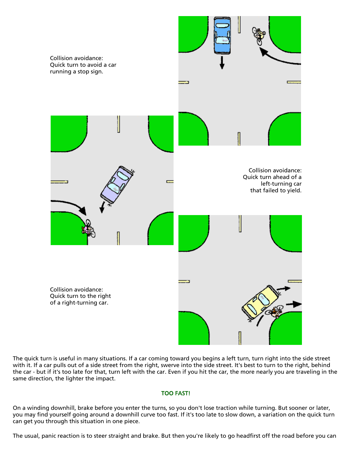![](_page_24_Figure_0.jpeg)

The quick turn is useful in many situations. If a car coming toward you begins a left turn, turn right into the side street with it. If a car pulls out of a side street from the right, swerve into the side street. It's best to turn to the right, behind the car - but if it's too late for that, turn left with the car. Even if you hit the car, the more nearly you are traveling in the same direction, the lighter the impact.

#### TOO FAST!

On a winding downhill, brake before you enter the turns, so you don't lose traction while turning. But sooner or later, you may find yourself going around a downhill curve too fast. If it's too late to slow down, a variation on the quick turn can get you through this situation in one piece.

The usual, panic reaction is to steer straight and brake. But then you're likely to go headfirst off the road before you can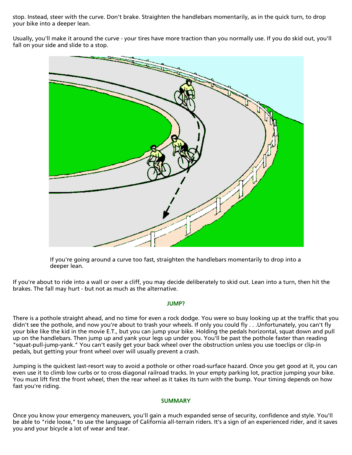stop. Instead, steer with the curve. Don't brake. Straighten the handlebars momentarily, as in the quick turn, to drop your bike into a deeper lean.

Usually, you'll make it around the curve - your tires have more traction than you normally use. If you do skid out, you'll fall on your side and slide to a stop.

![](_page_25_Picture_2.jpeg)

If you're going around a curve too fast, straighten the handlebars momentarily to drop into a deeper lean.

If you're about to ride into a wall or over a cliff, you may decide deliberately to skid out. Lean into a turn, then hit the brakes. The fall may hurt - but not as much as the alternative.

#### JUMP?

There is a pothole straight ahead, and no time for even a rock dodge. You were so busy looking up at the traffic that you didn't see the pothole, and now you're about to trash your wheels. If only you could fly . . .Unfortunately, you can't fly your bike like the kid in the movie E.T., but you can jump your bike. Holding the pedals horizontal, squat down and pull up on the handlebars. Then jump up and yank your legs up under you. You'll be past the pothole faster than reading "squat-pull-jump-yank." You can't easily get your back wheel over the obstruction unless you use toeclips or clip-in pedals, but getting your front wheel over will usually prevent a crash.

Jumping is the quickest last-resort way to avoid a pothole or other road-surface hazard. Once you get good at it, you can even use it to climb low curbs or to cross diagonal railroad tracks. In your empty parking lot, practice jumping your bike. You must lift first the front wheel, then the rear wheel as it takes its turn with the bump. Your timing depends on how fast you're riding.

#### **SUMMARY**

Once you know your emergency maneuvers, you'll gain a much expanded sense of security, confidence and style. You'll be able to "ride loose," to use the language of California all-terrain riders. It's a sign of an experienced rider, and it saves you and your bicycle a lot of wear and tear.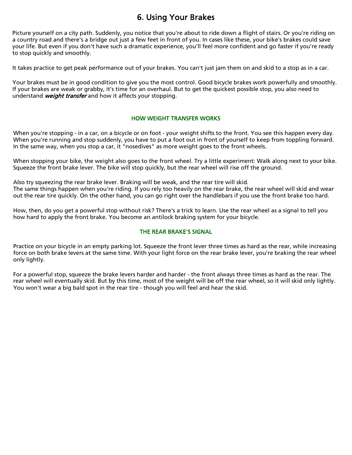# 6. Using Your Brakes

Picture yourself on a city path. Suddenly, you notice that you're about to ride down a flight of stairs. Or you're riding on a country road and there's a bridge out just a few feet in front of you. In cases like these, your bike's brakes could save your life. But even if you don't have such a dramatic experience, you'll feel more confident and go faster if you're ready to stop quickly and smoothly.

It takes practice to get peak performance out of your brakes. You can't just jam them on and skid to a stop as in a car.

Your brakes must be in good condition to give you the most control. Good bicycle brakes work powerfully and smoothly. If your brakes are weak or grabby, it's time for an overhaul. But to get the quickest possible stop, you also need to understand *weight transfer* and how it affects your stopping.

#### HOW WEIGHT TRANSFER WORKS

When you're stopping - in a car, on a bicycle or on foot - your weight shifts to the front. You see this happen every day. When you're running and stop suddenly, you have to put a foot out in front of yourself to keep from toppling forward. In the same way, when you stop a car, it "nosedives" as more weight goes to the front wheels.

When stopping your bike, the weight also goes to the front wheel. Try a little experiment: Walk along next to your bike. Squeeze the front brake lever. The bike will stop quickly, but the rear wheel will rise off the ground.

Also try squeezing the rear brake lever. Braking will be weak, and the rear tire will skid. The same things happen when you're riding. If you rely too heavily on the rear brake, the rear wheel will skid and wear out the rear tire quickly. On the other hand, you can go right over the handlebars if you use the front brake too hard.

How, then, do you get a powerful stop without risk? There's a trick to learn. Use the rear wheel as a signal to tell you how hard to apply the front brake. You become an antilock braking system for your bicycle.

#### THE REAR BRAKE'S SIGNAL

Practice on your bicycle in an empty parking lot. Squeeze the front lever three times as hard as the rear, while increasing force on both brake levers at the same time. With your light force on the rear brake lever, you're braking the rear wheel only lightly.

For a powerful stop, squeeze the brake levers harder and harder - the front always three times as hard as the rear. The rear wheel will eventually skid. But by this time, most of the weight will be off the rear wheel, so it will skid only lightly. You won't wear a big bald spot in the rear tire - though you will feel and hear the skid.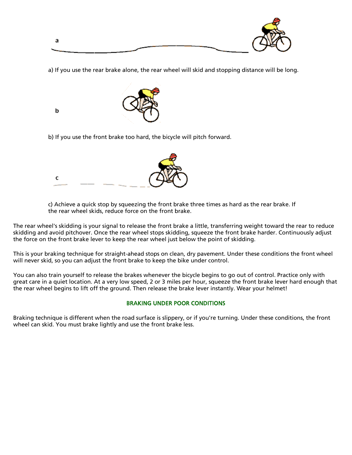![](_page_27_Picture_0.jpeg)

a) If you use the rear brake alone, the rear wheel will skid and stopping distance will be long.

p

![](_page_27_Picture_3.jpeg)

![](_page_27_Picture_4.jpeg)

c) Achieve a quick stop by squeezing the front brake three times as hard as the rear brake. If the rear wheel skids, reduce force on the front brake.

The rear wheel's skidding is your signal to release the front brake a little, transferring weight toward the rear to reduce skidding and avoid pitchover. Once the rear wheel stops skidding, squeeze the front brake harder. Continuously adjust the force on the front brake lever to keep the rear wheel just below the point of skidding.

This is your braking technique for straight-ahead stops on clean, dry pavement. Under these conditions the front wheel will never skid, so you can adjust the front brake to keep the bike under control.

You can also train yourself to release the brakes whenever the bicycle begins to go out of control. Practice only with great care in a quiet location. At a very low speed, 2 or 3 miles per hour, squeeze the front brake lever hard enough that the rear wheel begins to lift off the ground. Then release the brake lever instantly. Wear your helmet!

#### BRAKING UNDER POOR CONDITIONS

Braking technique is different when the road surface is slippery, or if you're turning. Under these conditions, the front wheel can skid. You must brake lightly and use the front brake less.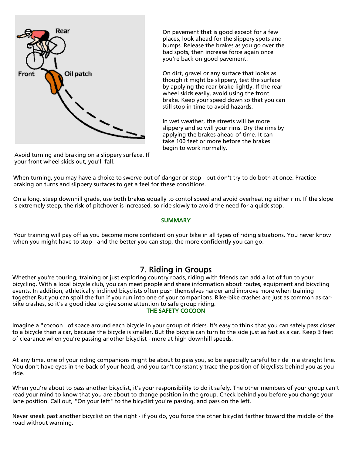![](_page_28_Figure_0.jpeg)

Avoid turning and braking on a slippery surface. If your front wheel skids out, you'll fall.

On pavement that is good except for a few places, look ahead for the slippery spots and bumps. Release the brakes as you go over the bad spots, then increase force again once you're back on good pavement.

On dirt, gravel or any surface that looks as though it might be slippery, test the surface by applying the rear brake lightly. If the rear wheel skids easily, avoid using the front brake. Keep your speed down so that you can still stop in time to avoid hazards.

In wet weather, the streets will be more slippery and so will your rims. Dry the rims by applying the brakes ahead of time. It can take 100 feet or more before the brakes begin to work normally.

When turning, you may have a choice to swerve out of danger or stop - but don't try to do both at once. Practice braking on turns and slippery surfaces to get a feel for these conditions.

On a long, steep downhill grade, use both brakes equally to contol speed and avoid overheating either rim. If the slope is extremely steep, the risk of pitchover is increased, so ride slowly to avoid the need for a quick stop.

#### **SUMMARY**

Your training will pay off as you become more confident on your bike in all types of riding situations. You never know when you might have to stop - and the better you can stop, the more confidently you can go.

# 7. Riding in Groups

Whether you're touring, training or just exploring country roads, riding with friends can add a lot of fun to your bicycling. With a local bicycle club, you can meet people and share information about routes, equipment and bicycling events. In addition, athletically inclined bicyclists often push themselves harder and improve more when training together.But you can spoil the fun if you run into one of your companions. Bike-bike crashes are just as common as carbike crashes, so it's a good idea to give some attention to safe group riding. THE SAFETY COCOON

Imagine a "cocoon" of space around each bicycle in your group of riders. It's easy to think that you can safely pass closer to a bicycle than a car, because the bicycle is smaller. But the bicycle can turn to the side just as fast as a car. Keep 3 feet of clearance when you're passing another bicyclist - more at high downhill speeds.

At any time, one of your riding companions might be about to pass you, so be especially careful to ride in a straight line. You don't have eyes in the back of your head, and you can't constantly trace the position of bicyclists behind you as you ride.

When you're about to pass another bicyclist, it's your responsibility to do it safely. The other members of your group can't read your mind to know that you are about to change position in the group. Check behind you before you change your lane position. Call out, "On your left" to the bicyclist you're passing, and pass on the left.

Never sneak past another bicyclist on the right - if you do, you force the other bicyclist farther toward the middle of the road without warning.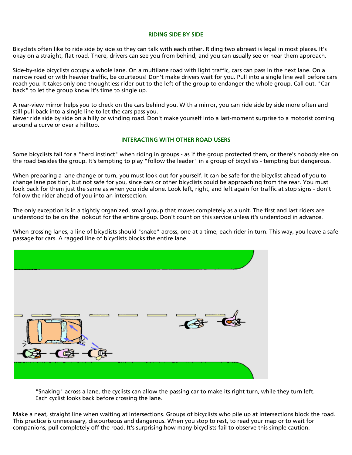#### RIDING SIDE BY SIDE

Bicyclists often like to ride side by side so they can talk with each other. Riding two abreast is legal in most places. It's okay on a straight, flat road. There, drivers can see you from behind, and you can usually see or hear them approach.

Side-by-side bicyclists occupy a whole lane. On a multilane road with light traffic, cars can pass in the next lane. On a narrow road or with heavier traffic, be courteous! Don't make drivers wait for you. Pull into a single line well before cars reach you. It takes only one thoughtless rider out to the left of the group to endanger the whole group. Call out, "Car back" to let the group know it's time to single up.

A rear-view mirror helps you to check on the cars behind you. With a mirror, you can ride side by side more often and still pull back into a single line to let the cars pass you.

Never ride side by side on a hilly or winding road. Don't make yourself into a last-moment surprise to a motorist coming around a curve or over a hilltop.

#### INTERACTING WITH OTHER ROAD USERS

Some bicyclists fall for a "herd instinct" when riding in groups - as if the group protected them, or there's nobody else on the road besides the group. It's tempting to play "follow the leader" in a group of bicyclists - tempting but dangerous.

When preparing a lane change or turn, you must look out for yourself. It can be safe for the bicyclist ahead of you to change lane position, but not safe for you, since cars or other bicyclists could be approaching from the rear. You must look back for them just the same as when you ride alone. Look left, right, and left again for traffic at stop signs - don't follow the rider ahead of you into an intersection.

The only exception is in a tightly organized, small group that moves completely as a unit. The first and last riders are understood to be on the lookout for the entire group. Don't count on this service unless it's understood in advance.

When crossing lanes, a line of bicyclists should "snake" across, one at a time, each rider in turn. This way, you leave a safe passage for cars. A ragged line of bicyclists blocks the entire lane.

![](_page_29_Picture_10.jpeg)

"Snaking" across a lane, the cyclists can allow the passing car to make its right turn, while they turn left. Each cyclist looks back before crossing the lane.

Make a neat, straight line when waiting at intersections. Groups of bicyclists who pile up at intersections block the road. This practice is unnecessary, discourteous and dangerous. When you stop to rest, to read your map or to wait for companions, pull completely off the road. It's surprising how many bicyclists fail to observe this simple caution.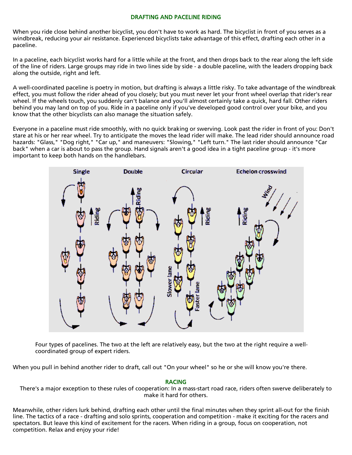#### DRAFTING AND PACELINE RIDING

When you ride close behind another bicyclist, you don't have to work as hard. The bicyclist in front of you serves as a windbreak, reducing your air resistance. Experienced bicyclists take advantage of this effect, drafting each other in a paceline.

In a paceline, each bicyclist works hard for a little while at the front, and then drops back to the rear along the left side of the line of riders. Large groups may ride in two lines side by side - a double paceline, with the leaders dropping back along the outside, right and left.

A well-coordinated paceline is poetry in motion, but drafting is always a little risky. To take advantage of the windbreak effect, you must follow the rider ahead of you closely; but you must never let your front wheel overlap that rider's rear wheel. If the wheels touch, you suddenly can't balance and you'll almost certainly take a quick, hard fall. Other riders behind you may land on top of you. Ride in a paceline only if you've developed good control over your bike, and you know that the other bicyclists can also manage the situation safely.

Everyone in a paceline must ride smoothly, with no quick braking or swerving. Look past the rider in front of you: Don't stare at his or her rear wheel. Try to anticipate the moves the lead rider will make. The lead rider should announce road hazards: "Glass," "Dog right," "Car up," and maneuvers: "Slowing," "Left turn." The last rider should announce "Car back" when a car is about to pass the group. Hand signals aren't a good idea in a tight paceline group - it's more important to keep both hands on the handlebars.

![](_page_30_Figure_5.jpeg)

Four types of pacelines. The two at the left are relatively easy, but the two at the right require a wellcoordinated group of expert riders.

When you pull in behind another rider to draft, call out "On your wheel" so he or she will know you're there.

#### RACING

There's a major exception to these rules of cooperation: In a mass-start road race, riders often swerve deliberately to make it hard for others.

Meanwhile, other riders lurk behind, drafting each other until the final minutes when they sprint all-out for the finish line. The tactics of a race - drafting and solo sprints, cooperation and competition - make it exciting for the racers and spectators. But leave this kind of excitement for the racers. When riding in a group, focus on cooperation, not competition. Relax and enjoy your ride!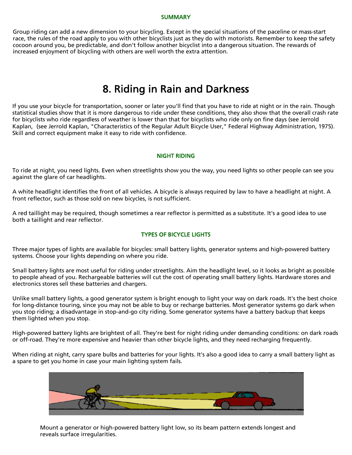#### **SUMMARY**

Group riding can add a new dimension to your bicycling. Except in the special situations of the paceline or mass-start race, the rules of the road apply to you with other bicyclists just as they do with motorists. Remember to keep the safety cocoon around you, be predictable, and don't follow another bicyclist into a dangerous situation. The rewards of increased enjoyment of bicycling with others are well worth the extra attention.

# 8. Riding in Rain and Darkness

If you use your bicycle for transportation, sooner or later you'll find that you have to ride at night or in the rain. Though statistical studies show that it is more dangerous to ride under these conditions, they also show that the overall crash rate for bicyclists who ride regardless of weather is lower than that for bicyclists who ride only on fine days (see Jerrold Kaplan, (see Jerrold Kaplan, "Characteristics of the Regular Adult Bicycle User," Federal Highway Administration, 1975). Skill and correct equipment make it easy to ride with confidence.

#### NIGHT RIDING

To ride at night, you need lights. Even when streetlights show you the way, you need lights so other people can see you against the glare of car headlights.

A white headlight identifies the front of all vehicles. A bicycle is always required by law to have a headlight at night. A front reflector, such as those sold on new bicycles, is not sufficient.

A red taillight may be required, though sometimes a rear reflector is permitted as a substitute. It's a good idea to use both a taillight and rear reflector.

#### TYPES OF BICYCLE LIGHTS

Three major types of lights are available for bicycles: small battery lights, generator systems and high-powered battery systems. Choose your lights depending on where you ride.

Small battery lights are most useful for riding under streetlights. Aim the headlight level, so it looks as bright as possible to people ahead of you. Rechargeable batteries will cut the cost of operating small battery lights. Hardware stores and electronics stores sell these batteries and chargers.

Unlike small battery lights, a good generator system is bright enough to light your way on dark roads. It's the best choice for long-distance touring, since you may not be able to buy or recharge batteries. Most generator systems go dark when you stop riding; a disadvantage in stop-and-go city riding. Some generator systems have a battery backup that keeps them lighted when you stop.

High-powered battery lights are brightest of all. They're best for night riding under demanding conditions: on dark roads or off-road. They're more expensive and heavier than other bicycle lights, and they need recharging frequently.

When riding at night, carry spare bulbs and batteries for your lights. It's also a good idea to carry a small battery light as a spare to get you home in case your main lighting system fails.

![](_page_31_Picture_14.jpeg)

Mount a generator or high-powered battery light low, so its beam pattern extends longest and reveals surface irregularities.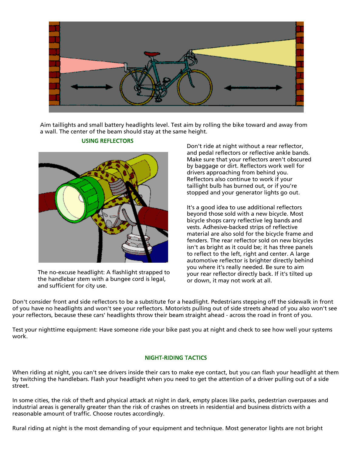![](_page_32_Picture_0.jpeg)

Aim taillights and small battery headlights level. Test aim by rolling the bike toward and away from a wall. The center of the beam should stay at the same height.

![](_page_32_Picture_2.jpeg)

#### USING REFLECTORS

The no-excuse headlight: A flashlight strapped to the handlebar stem with a bungee cord is legal, and sufficient for city use.

Don't ride at night without a rear reflector, and pedal reflectors or reflective ankle bands. Make sure that your reflectors aren't obscured by baggage or dirt. Reflectors work well for drivers approaching from behind you. Reflectors also continue to work if your taillight bulb has burned out, or if you're stopped and your generator lights go out.

It's a good idea to use additional reflectors beyond those sold with a new bicycle. Most bicycle shops carry reflective leg bands and vests. Adhesive-backed strips of reflective material are also sold for the bicycle frame and fenders. The rear reflector sold on new bicycles isn't as bright as it could be; it has three panels to reflect to the left, right and center. A large automotive reflector is brighter directly behind you where it's really needed. Be sure to aim your rear reflector directly back. If it's tilted up or down, it may not work at all.

Don't consider front and side reflectors to be a substitute for a headlight. Pedestrians stepping off the sidewalk in front of you have no headlights and won't see your reflectors. Motorists pulling out of side streets ahead of you also won't see your reflectors, because these cars' headlights throw their beam straight ahead - across the road in front of you.

Test your nighttime equipment: Have someone ride your bike past you at night and check to see how well your systems work.

#### NIGHT-RIDING TACTICS

When riding at night, you can't see drivers inside their cars to make eye contact, but you can flash your headlight at them by twitching the handlebars. Flash your headlight when you need to get the attention of a driver pulling out of a side street.

In some cities, the risk of theft and physical attack at night in dark, empty places like parks, pedestrian overpasses and industrial areas is generally greater than the risk of crashes on streets in residential and business districts with a reasonable amount of traffic. Choose routes accordingly.

Rural riding at night is the most demanding of your equipment and technique. Most generator lights are not bright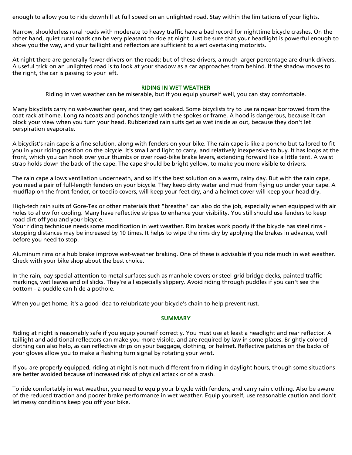enough to allow you to ride downhill at full speed on an unlighted road. Stay within the limitations of your lights.

Narrow, shoulderless rural roads with moderate to heavy traffic have a bad record for nighttime bicycle crashes. On the other hand, quiet rural roads can be very pleasant to ride at night. Just be sure that your headlight is powerful enough to show you the way, and your taillight and reflectors are sufficient to alert overtaking motorists.

At night there are generally fewer drivers on the roads; but of these drivers, a much larger percentage are drunk drivers. A useful trick on an unlighted road is to look at your shadow as a car approaches from behind. If the shadow moves to the right, the car is passing to your left.

#### RIDING IN WET WEATHER

Riding in wet weather can be miserable, but if you equip yourself well, you can stay comfortable.

Many bicyclists carry no wet-weather gear, and they get soaked. Some bicyclists try to use raingear borrowed from the coat rack at home. Long raincoats and ponchos tangle with the spokes or frame. A hood is dangerous, because it can block your view when you turn your head. Rubberized rain suits get as wet inside as out, because they don't let perspiration evaporate.

A bicyclist's rain cape is a fine solution, along with fenders on your bike. The rain cape is like a poncho but tailored to fit you in your riding position on the bicycle. It's small and light to carry, and relatively inexpensive to buy. It has loops at the front, which you can hook over your thumbs or over road-bike brake levers, extending forward like a little tent. A waist strap holds down the back of the cape. The cape should be bright yellow, to make you more visible to drivers.

The rain cape allows ventilation underneath, and so it's the best solution on a warm, rainy day. But with the rain cape, you need a pair of full-length fenders on your bicycle. They keep dirty water and mud from flying up under your cape. A mudflap on the front fender, or toeclip covers, will keep your feet dry, and a helmet cover will keep your head dry.

High-tech rain suits of Gore-Tex or other materials that "breathe" can also do the job, especially when equipped with air holes to allow for cooling. Many have reflective stripes to enhance your visibility. You still should use fenders to keep road dirt off you and your bicycle.

Your riding technique needs some modification in wet weather. Rim brakes work poorly if the bicycle has steel rims stopping distances may be increased by 10 times. It helps to wipe the rims dry by applying the brakes in advance, well before you need to stop.

Aluminum rims or a hub brake improve wet-weather braking. One of these is advisable if you ride much in wet weather. Check with your bike shop about the best choice.

In the rain, pay special attention to metal surfaces such as manhole covers or steel-grid bridge decks, painted traffic markings, wet leaves and oil slicks. They're all especially slippery. Avoid riding through puddles if you can't see the bottom - a puddle can hide a pothole.

When you get home, it's a good idea to relubricate your bicycle's chain to help prevent rust.

#### **SUMMARY**

Riding at night is reasonably safe if you equip yourself correctly. You must use at least a headlight and rear reflector. A taillight and additional reflectors can make you more visible, and are required by law in some places. Brightly colored clothing can also help, as can reflective strips on your baggage, clothing, or helmet. Reflective patches on the backs of your gloves allow you to make a flashing turn signal by rotating your wrist.

If you are properly equipped, riding at night is not much different from riding in daylight hours, though some situations are better avoided because of increased risk of physical attack or of a crash.

To ride comfortably in wet weather, you need to equip your bicycle with fenders, and carry rain clothing. Also be aware of the reduced traction and poorer brake performance in wet weather. Equip yourself, use reasonable caution and don't let messy conditions keep you off your bike.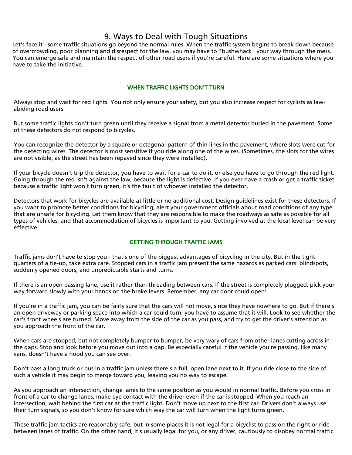### 9. Ways to Deal with Tough Situations

Let's face it - some traffic situations go beyond the normal rules. When the traffic system begins to break down because of overcrowding, poor planning and disrespect for the law, you may have to "bushwhack" your way through the mess. You can emerge safe and maintain the respect of other road users if you're careful. Here are some situations where you have to take the initiative.

#### WHEN TRAFFIC LIGHTS DON'T TURN

Always stop and wait for red lights. You not only ensure your safety, but you also increase respect for cyclists as lawabiding road users.

But some traffic lights don't turn green until they receive a signal from a metal detector buried in the pavement. Some of these detectors do not respond to bicycles.

You can recognize the detector by a square or octagonal pattern of thin lines in the pavement, where slots were cut for the detecting wires. The detector is most sensitive if you ride along one of the wires. (Sometimes, the slots for the wires are not visible, as the street has been repaved since they were installed).

If your bicycle doesn't trip the detector, you have to wait for a car to do it, or else you have to go through the red light. Going through the red isn't against the law, because the light is defective. If you ever have a crash or get a traffic ticket because a traffic light won't turn green, it's the fault of whoever installed the detector.

Detectors that work for bicycles are available at little or no additional cost. Design guidelines exist for these detectors. If you want to promote better conditions for bicycling, alert your government officials about road conditions of any type that are unsafe for bicycling. Let them know that they are responsible to make the roadways as safe as possible for all types of vehicles, and that accommodation of bicycles is important to you. Getting involved at the local level can be very effective.

#### GETTING THROUGH TRAFFIC JAMS

Traffic jams don't have to stop you - that's one of the biggest advantages of bicycling in the city. But in the tight quarters of a tie-up, take extra care. Stopped cars in a traffic jam present the same hazards as parked cars: blindspots, suddenly opened doors, and unpredictable starts and turns.

If there is an open passing lane, use it rather than threading between cars. If the street is completely plugged, pick your way forward slowly with your hands on the brake levers. Remember, any car door could open!

If you're in a traffic jam, you can be fairly sure that the cars will not move, since they have nowhere to go. But if there's an open driveway or parking space into which a car could turn, you have to assume that it will. Look to see whether the car's front wheels are turned. Move away from the side of the car as you pass, and try to get the driver's attention as you approach the front of the car.

When cars are stopped, but not completely bumper to bumper, be very wary of cars from other lanes cutting across in the gaps. Stop and look before you move out into a gap. Be especially careful if the vehicle you're passing, like many vans, doesn't have a hood you can see over.

Don't pass a long truck or bus in a traffic jam unless there's a full, open lane next to it. If you ride close to the side of such a vehicle it may begin to merge toward you, leaving you no way to escape.

As you approach an intersection, change lanes to the same position as you would in normal traffic. Before you cross in front of a car to change lanes, make eye contact with the driver even if the car is stopped. When you reach an intersection, wait behind the first car at the traffic light. Don't move up next to the first car. Drivers don't always use their turn signals, so you don't know for sure which way the car will turn when the light turns green.

These traffic-jam tactics are reasonably safe, but in some places it is not legal for a bicyclist to pass on the right or ride between lanes of traffic. On the other hand, it's usually legal for you, or any driver, cautiously to disobey normal traffic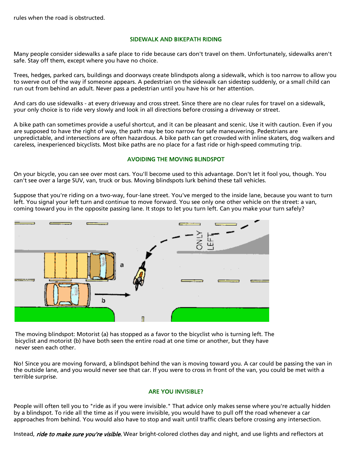rules when the road is obstructed.

#### SIDEWALK AND BIKEPATH RIDING

Many people consider sidewalks a safe place to ride because cars don't travel on them. Unfortunately, sidewalks aren't safe. Stay off them, except where you have no choice.

Trees, hedges, parked cars, buildings and doorways create blindspots along a sidewalk, which is too narrow to allow you to swerve out of the way if someone appears. A pedestrian on the sidewalk can sidestep suddenly, or a small child can run out from behind an adult. Never pass a pedestrian until you have his or her attention.

And cars do use sidewalks - at every driveway and cross street. Since there are no clear rules for travel on a sidewalk, your only choice is to ride very slowly and look in all directions before crossing a driveway or street.

A bike path can sometimes provide a useful shortcut, and it can be pleasant and scenic. Use it with caution. Even if you are supposed to have the right of way, the path may be too narrow for safe maneuvering. Pedestrians are unpredictable, and intersections are often hazardous. A bike path can get crowded with inline skaters, dog walkers and careless, inexperienced bicyclists. Most bike paths are no place for a fast ride or high-speed commuting trip.

#### AVOIDING THE MOVING BLINDSPOT

On your bicycle, you can see over most cars. You'll become used to this advantage. Don't let it fool you, though. You can't see over a large SUV, van, truck or bus. Moving blindspots lurk behind these tall vehicles.

Suppose that you're riding on a two-way, four-lane street. You've merged to the inside lane, because you want to turn left. You signal your left turn and continue to move forward. You see only one other vehicle on the street: a van, coming toward you in the opposite passing lane. It stops to let you turn left. Can you make your turn safely?

![](_page_35_Figure_9.jpeg)

The moving blindspot: Motorist (a) has stopped as a favor to the bicyclist who is turning left. The bicyclist and motorist (b) have both seen the entire road at one time or another, but they have never seen each other.

No! Since you are moving forward, a blindspot behind the van is moving toward you. A car could be passing the van in the outside lane, and you would never see that car. If you were to cross in front of the van, you could be met with a terrible surprise.

#### ARE YOU INVISIBLE?

People will often tell you to "ride as if you were invisible." That advice only makes sense where you're actually hidden by a blindspot. To ride all the time as if you were invisible, you would have to pull off the road whenever a car approaches from behind. You would also have to stop and wait until traffic clears before crossing any intersection.

Instead, ride to make sure you're visible. Wear bright-colored clothes day and night, and use lights and reflectors at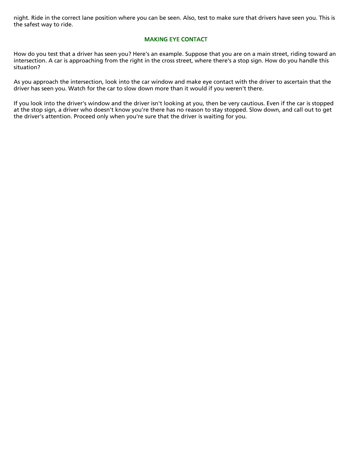night. Ride in the correct lane position where you can be seen. Also, test to make sure that drivers have seen you. This is the safest way to ride.

#### MAKING EYE CONTACT

How do you test that a driver has seen you? Here's an example. Suppose that you are on a main street, riding toward an intersection. A car is approaching from the right in the cross street, where there's a stop sign. How do you handle this situation?

As you approach the intersection, look into the car window and make eye contact with the driver to ascertain that the driver has seen you. Watch for the car to slow down more than it would if you weren't there.

If you look into the driver's window and the driver isn't looking at you, then be very cautious. Even if the car is stopped at the stop sign, a driver who doesn't know you're there has no reason to stay stopped. Slow down, and call out to get the driver's attention. Proceed only when you're sure that the driver is waiting for you.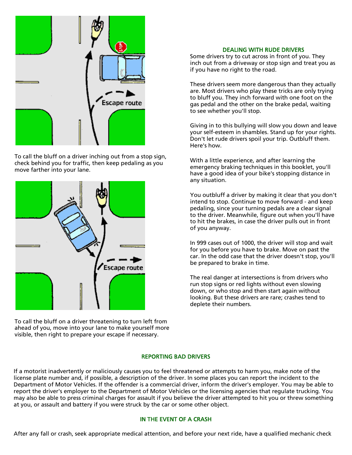![](_page_37_Picture_0.jpeg)

To call the bluff on a driver inching out from a stop sign, check behind you for traffic, then keep pedaling as you move farther into your lane.

![](_page_37_Picture_2.jpeg)

To call the bluff on a driver threatening to turn left from ahead of you, move into your lane to make yourself more visible, then right to prepare your escape if necessary.

#### DEALING WITH RUDE DRIVERS

Some drivers try to cut across in front of you. They inch out from a driveway or stop sign and treat you as if you have no right to the road.

These drivers seem more dangerous than they actually are. Most drivers who play these tricks are only trying to bluff you. They inch forward with one foot on the gas pedal and the other on the brake pedal, waiting to see whether you'll stop.

Giving in to this bullying will slow you down and leave your self-esteem in shambles. Stand up for your rights. Don't let rude drivers spoil your trip. Outbluff them. Here's how.

With a little experience, and after learning the emergency braking techniques in this booklet, you'll have a good idea of your bike's stopping distance in any situation.

You outbluff a driver by making it clear that you don't intend to stop. Continue to move forward - and keep pedaling, since your turning pedals are a clear signal to the driver. Meanwhile, figure out when you'll have to hit the brakes, in case the driver pulls out in front of you anyway.

In 999 cases out of 1000, the driver will stop and wait for you before you have to brake. Move on past the car. In the odd case that the driver doesn't stop, you'll be prepared to brake in time.

The real danger at intersections is from drivers who run stop signs or red lights without even slowing down, or who stop and then start again without looking. But these drivers are rare; crashes tend to deplete their numbers.

#### REPORTING BAD DRIVERS

If a motorist inadvertently or maliciously causes you to feel threatened or attempts to harm you, make note of the license plate number and, if possible, a description of the driver. In some places you can report the incident to the Department of Motor Vehicles. If the offender is a commercial driver, inform the driver's employer. You may be able to report the driver's employer to the Department of Motor Vehicles or the licensing agencies that regulate trucking. You may also be able to press criminal charges for assault if you believe the driver attempted to hit you or threw something at you, or assault and battery if you were struck by the car or some other object.

#### IN THE EVENT OF A CRASH

After any fall or crash, seek appropriate medical attention, and before your next ride, have a qualified mechanic check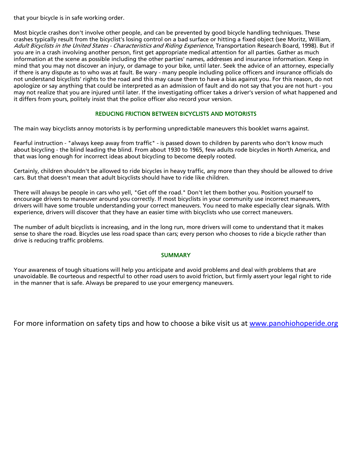that your bicycle is in safe working order.

Most bicycle crashes don't involve other people, and can be prevented by good bicycle handling techniques. These crashes typically result from the bicyclist's losing control on a bad surface or hitting a fixed object (see Moritz, William, Adult Bicyclists in the United States - Characteristics and Riding Experience, Transportation Research Board, 1998). But if you are in a crash involving another person, first get appropriate medical attention for all parties. Gather as much information at the scene as possible including the other parties' names, addresses and insurance information. Keep in mind that you may not discover an injury, or damage to your bike, until later. Seek the advice of an attorney, especially if there is any dispute as to who was at fault. Be wary - many people including police officers and insurance officials do not understand bicyclists' rights to the road and this may cause them to have a bias against you. For this reason, do not apologize or say anything that could be interpreted as an admission of fault and do not say that you are not hurt - you may not realize that you are injured until later. If the investigating officer takes a driver's version of what happened and it differs from yours, politely insist that the police officer also record your version.

#### REDUCING FRICTION BETWEEN BICYCLISTS AND MOTORISTS

The main way bicyclists annoy motorists is by performing unpredictable maneuvers this booklet warns against.

Fearful instruction - "always keep away from traffic" - is passed down to children by parents who don't know much about bicycling - the blind leading the blind. From about 1930 to 1965, few adults rode bicycles in North America, and that was long enough for incorrect ideas about bicycling to become deeply rooted.

Certainly, children shouldn't be allowed to ride bicycles in heavy traffic, any more than they should be allowed to drive cars. But that doesn't mean that adult bicyclists should have to ride like children.

There will always be people in cars who yell, "Get off the road." Don't let them bother you. Position yourself to encourage drivers to maneuver around you correctly. If most bicyclists in your community use incorrect maneuvers, drivers will have some trouble understanding your correct maneuvers. You need to make especially clear signals. With experience, drivers will discover that they have an easier time with bicyclists who use correct maneuvers.

The number of adult bicyclists is increasing, and in the long run, more drivers will come to understand that it makes sense to share the road. Bicycles use less road space than cars; every person who chooses to ride a bicycle rather than drive is reducing traffic problems.

#### **SUMMARY**

Your awareness of tough situations will help you anticipate and avoid problems and deal with problems that are unavoidable. Be courteous and respectful to other road users to avoid friction, but firmly assert your legal right to ride in the manner that is safe. Always be prepared to use your emergency maneuvers.

For more information on safety tips and how to choose a bike visit us at www.panohiohoperide.org